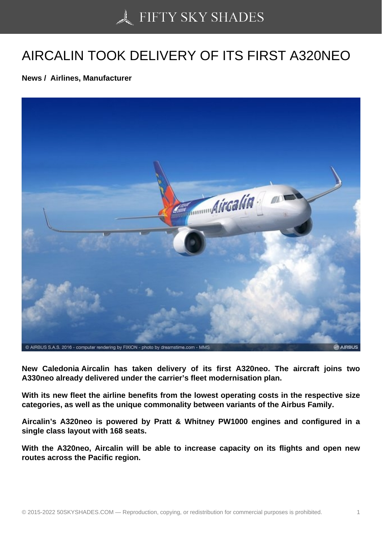## [AIRCALIN TOOK DELI](https://50skyshades.com)VERY OF ITS FIRST A320NEO

News / Airlines, Manufacturer

New Caledonia Aircalin has taken delivery of its first A320neo. The aircraft joins two A330neo already delivered under the carrier's fleet modernisation plan.

With its new fleet the airline benefits from the lowest operating costs in the respective size categories, as well as the unique commonality between variants of the Airbus Family.

Aircalin's A320neo is powered by Pratt & Whitney PW1000 engines and configured in a single class layout with 168 seats.

With the A320neo, Aircalin will be able to increase capacity on its flights and open new routes across the Pacific region.